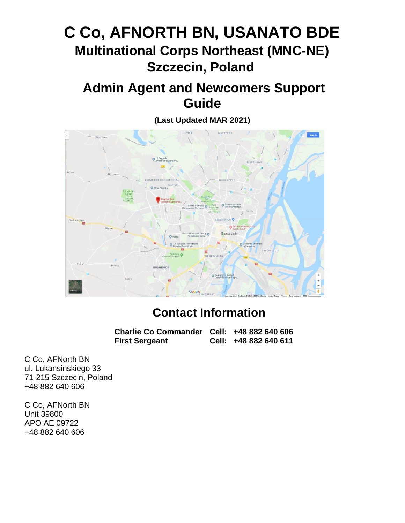# **C Co, AFNORTH BN, USANATO BDE Multinational Corps Northeast (MNC-NE) Szczecin, Poland**

# **Admin Agent and Newcomers Support Guide**

**(Last Updated MAR 2021)**



# **Contact Information**

**Charlie Co Commander Cell: +48 882 640 606 First Sergeant Cell: +48 882 640 611**

C Co, AFNorth BN ul. Lukansinskiego 33 71-215 Szczecin, Poland +48 882 640 606

C Co, AFNorth BN Unit 39800 APO AE 09722 +48 882 640 606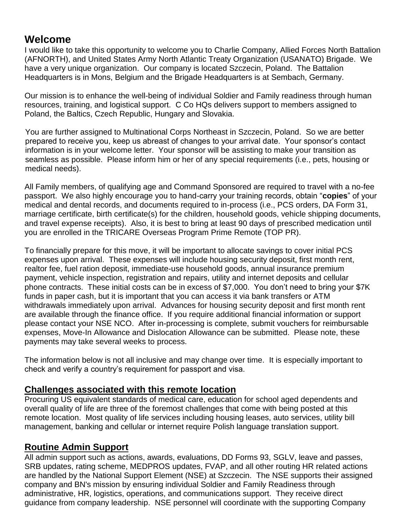# **Welcome**

I would like to take this opportunity to welcome you to Charlie Company, Allied Forces North Battalion (AFNORTH), and United States Army North Atlantic Treaty Organization (USANATO) Brigade. We have a very unique organization. Our company is located Szczecin, Poland. The Battalion Headquarters is in Mons, Belgium and the Brigade Headquarters is at Sembach, Germany.

Our mission is to enhance the well-being of individual Soldier and Family readiness through human resources, training, and logistical support. C Co HQs delivers support to members assigned to Poland, the Baltics, Czech Republic, Hungary and Slovakia.

You are further assigned to Multinational Corps Northeast in Szczecin, Poland. So we are better prepared to receive you, keep us abreast of changes to your arrival date. Your sponsor's contact information is in your welcome letter. Your sponsor will be assisting to make your transition as seamless as possible. Please inform him or her of any special requirements (i.e., pets, housing or medical needs).

All Family members, of qualifying age and Command Sponsored are required to travel with a no-fee passport. We also highly encourage you to hand-carry your training records, obtain "**copies**" of your medical and dental records, and documents required to in-process (i.e., PCS orders, DA Form 31, marriage certificate, birth certificate(s) for the children, household goods, vehicle shipping documents, and travel expense receipts). Also, it is best to bring at least 90 days of prescribed medication until you are enrolled in the TRICARE Overseas Program Prime Remote (TOP PR).

To financially prepare for this move, it will be important to allocate savings to cover initial PCS expenses upon arrival. These expenses will include housing security deposit, first month rent, realtor fee, fuel ration deposit, immediate-use household goods, annual insurance premium payment, vehicle inspection, registration and repairs, utility and internet deposits and cellular phone contracts. These initial costs can be in excess of \$7,000. You don't need to bring your \$7K funds in paper cash, but it is important that you can access it via bank transfers or ATM withdrawals immediately upon arrival. Advances for housing security deposit and first month rent are available through the finance office. If you require additional financial information or support please contact your NSE NCO. After in-processing is complete, submit vouchers for reimbursable expenses, Move-In Allowance and Dislocation Allowance can be submitted. Please note, these payments may take several weeks to process.

The information below is not all inclusive and may change over time. It is especially important to check and verify a country's requirement for passport and visa.

# **Challenges associated with this remote location**

Procuring US equivalent standards of medical care, education for school aged dependents and overall quality of life are three of the foremost challenges that come with being posted at this remote location. Most quality of life services including housing leases, auto services, utility bill management, banking and cellular or internet require Polish language translation support.

# **Routine Admin Support**

All admin support such as actions, awards, evaluations, DD Forms 93, SGLV, leave and passes, SRB updates, rating scheme, MEDPROS updates, FVAP, and all other routing HR related actions are handled by the National Support Element (NSE) at Szczecin. The NSE supports their assigned company and BN's mission by ensuring individual Soldier and Family Readiness through administrative, HR, logistics, operations, and communications support. They receive direct guidance from company leadership. NSE personnel will coordinate with the supporting Company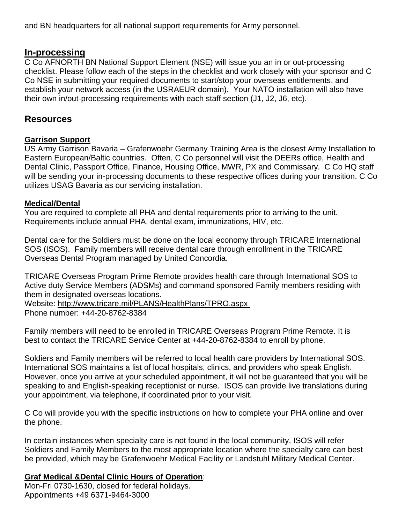and BN headquarters for all national support requirements for Army personnel.

### **In-processing**

C Co AFNORTH BN National Support Element (NSE) will issue you an in or out-processing checklist. Please follow each of the steps in the checklist and work closely with your sponsor and C Co NSE in submitting your required documents to start/stop your overseas entitlements, and establish your network access (in the USRAEUR domain). Your NATO installation will also have their own in/out-processing requirements with each staff section (J1, J2, J6, etc).

### **Resources**

#### **Garrison Support**

US Army Garrison Bavaria – Grafenwoehr Germany Training Area is the closest Army Installation to Eastern European/Baltic countries. Often, C Co personnel will visit the DEERs office, Health and Dental Clinic, Passport Office, Finance, Housing Office, MWR, PX and Commissary. C Co HQ staff will be sending your in-processing documents to these respective offices during your transition. C Co utilizes USAG Bavaria as our servicing installation.

#### **Medical/Dental**

You are required to complete all PHA and dental requirements prior to arriving to the unit. Requirements include annual PHA, dental exam, immunizations, HIV, etc.

Dental care for the Soldiers must be done on the local economy through TRICARE International SOS (ISOS). Family members will receive dental care through enrollment in the TRICARE Overseas Dental Program managed by United Concordia.

TRICARE Overseas Program Prime Remote provides health care through International SOS to Active duty Service Members (ADSMs) and command sponsored Family members residing with them in designated overseas locations.

Website:<http://www.tricare.mil/PLANS/HealthPlans/TPRO.aspx>

Phone number: +44-20-8762-8384

Family members will need to be enrolled in TRICARE Overseas Program Prime Remote. It is best to contact the TRICARE Service Center at +44-20-8762-8384 to enroll by phone.

Soldiers and Family members will be referred to local health care providers by International SOS. International SOS maintains a list of local hospitals, clinics, and providers who speak English. However, once you arrive at your scheduled appointment, it will not be guaranteed that you will be speaking to and English-speaking receptionist or nurse. ISOS can provide live translations during your appointment, via telephone, if coordinated prior to your visit.

C Co will provide you with the specific instructions on how to complete your PHA online and over the phone.

In certain instances when specialty care is not found in the local community, ISOS will refer Soldiers and Family Members to the most appropriate location where the specialty care can best be provided, which may be Grafenwoehr Medical Facility or Landstuhl Military Medical Center.

#### **Graf Medical &Dental Clinic Hours of Operation**:

Mon-Fri 0730-1630, closed for federal holidays. Appointments +49 6371-9464-3000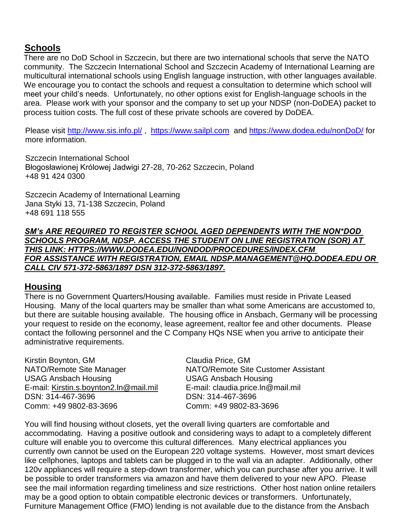### **Schools**

There are no DoD School in Szczecin, but there are two international schools that serve the NATO community. The Szczecin International School and Szczecin Academy of International Learning are multicultural international schools using English language instruction, with other languages available. We encourage you to contact the schools and request a consultation to determine which school will meet your child's needs. Unfortunately, no other options exist for English-language schools in the area. Please work with your sponsor and the company to set up your NDSP (non-DoDEA) packet to process tuition costs. The full cost of these private schools are covered by DoDEA.

Please visit<http://www.sis.info.pl/> , [https://www.sailpl.com](https://www.sailpl.com/) and<https://www.dodea.edu/nonDoD/> for more information.

Szczecin International School Błogosławionej Królowej Jadwigi 27-28, 70-262 Szczecin, Poland +48 91 424 0300

Szczecin Academy of International Learning Jana Styki 13, 71-138 Szczecin, Poland +48 691 118 555

*SM's ARE REQUIRED TO REGISTER SCHOOL AGED DEPENDENTS WITH THE NON\*DOD SCHOOLS PROGRAM, NDSP. ACCESS THE STUDENT ON LINE REGISTRATION (SOR) AT THIS LINK: HTTPS://WWW.DODEA.EDU/NONDOD/PROCEDURES/INDEX.CFM FOR ASSISTANCE WITH REGISTRATION, EMAIL NDSP.MANAGEMENT@HQ.DODEA.EDU OR CALL CIV 571-372-5863/1897 DSN 312-372-5863/1897.*

# **Housing**

There is no Government Quarters/Housing available. Families must reside in Private Leased Housing. Many of the local quarters may be smaller than what some Americans are accustomed to, but there are suitable housing available. The housing office in Ansbach, Germany will be processing your request to reside on the economy, lease agreement, realtor fee and other documents. Please contact the following personnel and the C Company HQs NSE when you arrive to anticipate their administrative requirements.

Kirstin Boynton, GM Claudia Price, GM USAG Ansbach Housing USAG Ansbach Housing E-mail: [Kirstin.s.boynton2.ln@mail.mil](mailto:Kirstin.s.boynton2.ln@mail.mil) E-mail: claudia.price.ln@mail.mil DSN: 314-467-3696 DSN: 314-467-3696 Comm: +49 9802-83-3696 Comm: +49 9802-83-3696

NATO/Remote Site Manager NATO/Remote Site Customer Assistant

You will find housing without closets, yet the overall living quarters are comfortable and accommodating. Having a positive outlook and considering ways to adapt to a completely different culture will enable you to overcome this cultural differences. Many electrical appliances you currently own cannot be used on the European 220 voltage systems. However, most smart devices like cellphones, laptops and tablets can be plugged in to the wall via an adapter. Additionally, other 120v appliances will require a step-down transformer, which you can purchase after you arrive. It will be possible to order transformers via amazon and have them delivered to your new APO. Please see the mail information regarding timeliness and size restrictions. Other host nation online retailers may be a good option to obtain compatible electronic devices or transformers. Unfortunately, Furniture Management Office (FMO) lending is not available due to the distance from the Ansbach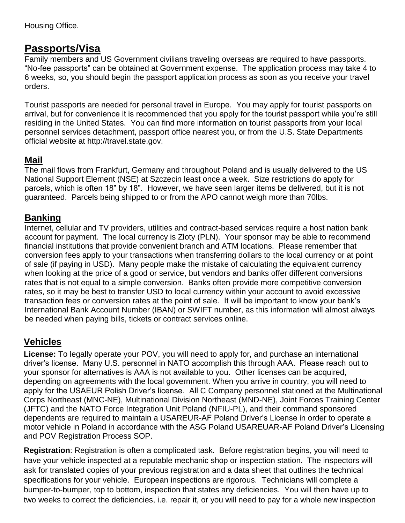Housing Office.

# **Passports/Visa**

Family members and US Government civilians traveling overseas are required to have passports. "No-fee passports" can be obtained at Government expense. The application process may take 4 to 6 weeks, so, you should begin the passport application process as soon as you receive your travel orders.

Tourist passports are needed for personal travel in Europe. You may apply for tourist passports on arrival, but for convenience it is recommended that you apply for the tourist passport while you're still residing in the United States. You can find more information on tourist passports from your local personnel services detachment, passport office nearest you, or from the U.S. State Departments official website at [http://travel.state.gov.](http://travel.state.gov/)

# **Mail**

The mail flows from Frankfurt, Germany and throughout Poland and is usually delivered to the US National Support Element (NSE) at Szczecin least once a week. Size restrictions do apply for parcels, which is often 18" by 18". However, we have seen larger items be delivered, but it is not guaranteed. Parcels being shipped to or from the APO cannot weigh more than 70lbs.

# **Banking**

Internet, cellular and TV providers, utilities and contract-based services require a host nation bank account for payment. The local currency is Zloty (PLN). Your sponsor may be able to recommend financial institutions that provide convenient branch and ATM locations. Please remember that conversion fees apply to your transactions when transferring dollars to the local currency or at point of sale (if paying in USD). Many people make the mistake of calculating the equivalent currency when looking at the price of a good or service, but vendors and banks offer different conversions rates that is not equal to a simple conversion. Banks often provide more competitive conversion rates, so it may be best to transfer USD to local currency within your account to avoid excessive transaction fees or conversion rates at the point of sale. It will be important to know your bank's International Bank Account Number (IBAN) or SWIFT number, as this information will almost always be needed when paying bills, tickets or contract services online.

# **Vehicles**

**License:** To legally operate your POV, you will need to apply for, and purchase an international driver's license. Many U.S. personnel in NATO accomplish this through AAA. Please reach out to your sponsor for alternatives is AAA is not available to you. Other licenses can be acquired, depending on agreements with the local government. When you arrive in country, you will need to apply for the USAEUR Polish Driver's license. All C Company personnel stationed at the Multinational Corps Northeast (MNC-NE), Multinational Division Northeast (MND-NE), Joint Forces Training Center (JFTC) and the NATO Force Integration Unit Poland (NFIU-PL), and their command sponsored dependents are required to maintain a USAREUR-AF Poland Driver's License in order to operate a motor vehicle in Poland in accordance with the ASG Poland USAREUAR-AF Poland Driver's Licensing and POV Registration Process SOP.

**Registration**: Registration is often a complicated task. Before registration begins, you will need to have your vehicle inspected at a reputable mechanic shop or inspection station. The inspectors will ask for translated copies of your previous registration and a data sheet that outlines the technical specifications for your vehicle. European inspections are rigorous. Technicians will complete a bumper-to-bumper, top to bottom, inspection that states any deficiencies. You will then have up to two weeks to correct the deficiencies, i.e. repair it, or you will need to pay for a whole new inspection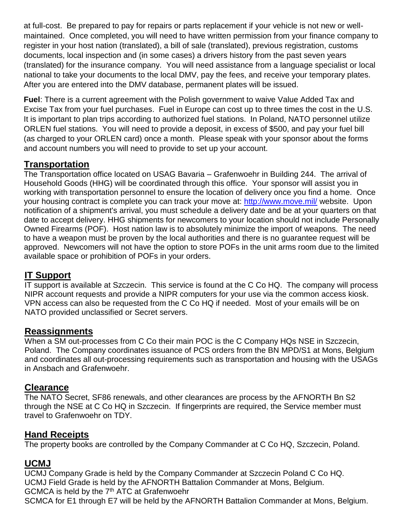at full-cost. Be prepared to pay for repairs or parts replacement if your vehicle is not new or wellmaintained. Once completed, you will need to have written permission from your finance company to register in your host nation (translated), a bill of sale (translated), previous registration, customs documents, local inspection and (in some cases) a drivers history from the past seven years (translated) for the insurance company. You will need assistance from a language specialist or local national to take your documents to the local DMV, pay the fees, and receive your temporary plates. After you are entered into the DMV database, permanent plates will be issued.

**Fuel**: There is a current agreement with the Polish government to waive Value Added Tax and Excise Tax from your fuel purchases. Fuel in Europe can cost up to three times the cost in the U.S. It is important to plan trips according to authorized fuel stations. In Poland, NATO personnel utilize ORLEN fuel stations. You will need to provide a deposit, in excess of \$500, and pay your fuel bill (as charged to your ORLEN card) once a month. Please speak with your sponsor about the forms and account numbers you will need to provide to set up your account.

# **Transportation**

The Transportation office located on USAG Bavaria – Grafenwoehr in Building 244. The arrival of Household Goods (HHG) will be coordinated through this office. Your sponsor will assist you in working with transportation personnel to ensure the location of delivery once you find a home. Once your housing contract is complete you can track your move at:<http://www.move.mil/> website. Upon notification of a shipment's arrival, you must schedule a delivery date and be at your quarters on that date to accept delivery. HHG shipments for newcomers to your location should not include Personally Owned Firearms (POF). Host nation law is to absolutely minimize the import of weapons. The need to have a weapon must be proven by the local authorities and there is no guarantee request will be approved. Newcomers will not have the option to store POFs in the unit arms room due to the limited available space or prohibition of POFs in your orders.

# **IT Support**

IT support is available at Szczecin. This service is found at the C Co HQ. The company will process NIPR account requests and provide a NIPR computers for your use via the common access kiosk. VPN access can also be requested from the C Co HQ if needed. Most of your emails will be on NATO provided unclassified or Secret servers.

# **Reassignments**

When a SM out-processes from C Co their main POC is the C Company HQs NSE in Szczecin, Poland. The Company coordinates issuance of PCS orders from the BN MPD/S1 at Mons, Belgium and coordinates all out-processing requirements such as transportation and housing with the USAGs in Ansbach and Grafenwoehr.

# **Clearance**

The NATO Secret, SF86 renewals, and other clearances are process by the AFNORTH Bn S2 through the NSE at C Co HQ in Szczecin. If fingerprints are required, the Service member must travel to Grafenwoehr on TDY.

# **Hand Receipts**

The property books are controlled by the Company Commander at C Co HQ, Szczecin, Poland.

# **UCMJ**

UCMJ Company Grade is held by the Company Commander at Szczecin Poland C Co HQ. UCMJ Field Grade is held by the AFNORTH Battalion Commander at Mons, Belgium. GCMCA is held by the 7<sup>th</sup> ATC at Grafenwoehr SCMCA for E1 through E7 will be held by the AFNORTH Battalion Commander at Mons, Belgium.